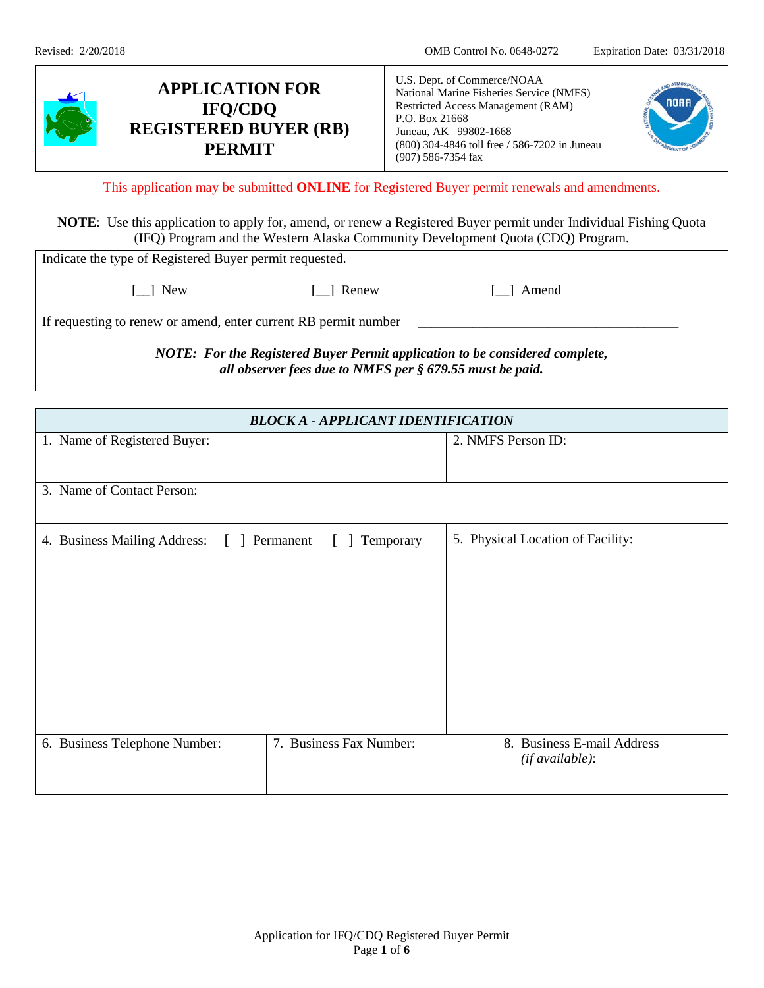| ✔ | <b>APPLICATION FOR</b><br><b>IFO/CDO</b><br><b>REGISTERED BUYER (RB)</b><br><b>PERMIT</b> | U.S. Dept. of Commerce/NOAA<br>National Marine Fisheries Service (NMFS)<br>Restricted Access Management (RAM)<br>P.O. Box 21668<br>Juneau, AK 99802-1668<br>(800) 304-4846 toll free / 586-7202 in Juneau<br>$(907)$ 586-7354 fax |  |
|---|-------------------------------------------------------------------------------------------|-----------------------------------------------------------------------------------------------------------------------------------------------------------------------------------------------------------------------------------|--|
|---|-------------------------------------------------------------------------------------------|-----------------------------------------------------------------------------------------------------------------------------------------------------------------------------------------------------------------------------------|--|

This application may be submitted **ONLINE** for Registered Buyer permit renewals and amendments.

**NOTE**: Use this application to apply for, amend, or renew a Registered Buyer permit under Individual Fishing Quota (IFQ) Program and the Western Alaska Community Development Quota (CDQ) Program.

| Indicate the type of Registered Buyer permit requested.                                                                                  |       |         |  |
|------------------------------------------------------------------------------------------------------------------------------------------|-------|---------|--|
| 1 New                                                                                                                                    | Renew | 1 Amend |  |
| If requesting to renew or amend, enter current RB permit number                                                                          |       |         |  |
| NOTE: For the Registered Buyer Permit application to be considered complete,<br>all observer fees due to NMFS per § 679.55 must be paid. |       |         |  |

| <b>BLOCK A - APPLICANT IDENTIFICATION</b>     |                              |                                   |
|-----------------------------------------------|------------------------------|-----------------------------------|
| 1. Name of Registered Buyer:                  |                              | 2. NMFS Person ID:                |
|                                               |                              |                                   |
| 3. Name of Contact Person:                    |                              |                                   |
|                                               |                              |                                   |
| 4. Business Mailing Address:<br>[ ] Permanent | Temporary<br>$\lceil \rceil$ | 5. Physical Location of Facility: |
|                                               |                              |                                   |
|                                               |                              |                                   |
|                                               |                              |                                   |
|                                               |                              |                                   |
|                                               |                              |                                   |
|                                               |                              |                                   |
|                                               |                              |                                   |
| 6. Business Telephone Number:                 | 7. Business Fax Number:      | 8. Business E-mail Address        |
|                                               |                              | (if available):                   |
|                                               |                              |                                   |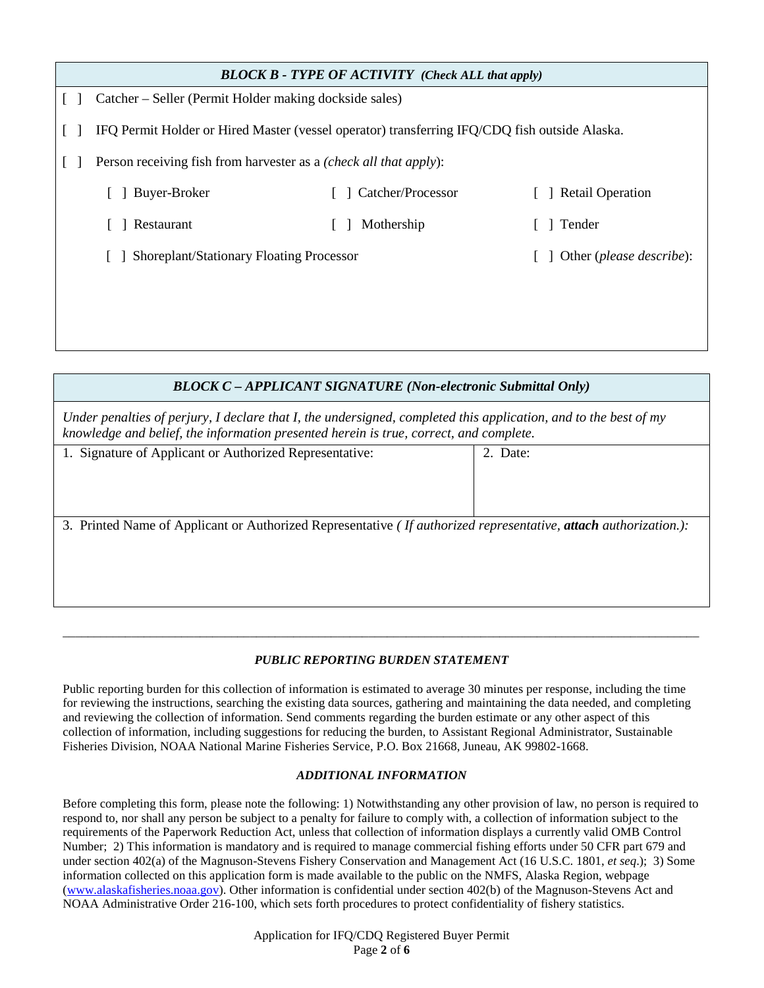| <b>BLOCK B - TYPE OF ACTIVITY</b> (Check ALL that apply) |                                                                                               |                                   |                      |
|----------------------------------------------------------|-----------------------------------------------------------------------------------------------|-----------------------------------|----------------------|
|                                                          | Catcher – Seller (Permit Holder making dockside sales)                                        |                                   |                      |
|                                                          | IFQ Permit Holder or Hired Master (vessel operator) transferring IFQ/CDQ fish outside Alaska. |                                   |                      |
|                                                          | Person receiving fish from harvester as a <i>(check all that apply)</i> :                     |                                   |                      |
|                                                          | Buyer-Broker                                                                                  | Catcher/Processor                 | [ ] Retail Operation |
|                                                          | Restaurant                                                                                    | Mothership                        | Tender               |
| Shoreplant/Stationary Floating Processor                 |                                                                                               | Other ( <i>please describe</i> ): |                      |
|                                                          |                                                                                               |                                   |                      |
|                                                          |                                                                                               |                                   |                      |

| <b>BLOCK C – APPLICANT SIGNATURE (Non-electronic Submittal Only)</b>                                                                                                                                       |          |  |
|------------------------------------------------------------------------------------------------------------------------------------------------------------------------------------------------------------|----------|--|
| Under penalties of perjury, I declare that I, the undersigned, completed this application, and to the best of my<br>knowledge and belief, the information presented herein is true, correct, and complete. |          |  |
| 1. Signature of Applicant or Authorized Representative:                                                                                                                                                    | 2. Date: |  |
|                                                                                                                                                                                                            |          |  |
| 3. Printed Name of Applicant or Authorized Representative ( <i>If authorized representative</i> , <b>attach</b> authorization.):                                                                           |          |  |
|                                                                                                                                                                                                            |          |  |
|                                                                                                                                                                                                            |          |  |

#### *PUBLIC REPORTING BURDEN STATEMENT*

\_\_\_\_\_\_\_\_\_\_\_\_\_\_\_\_\_\_\_\_\_\_\_\_\_\_\_\_\_\_\_\_\_\_\_\_\_\_\_\_\_\_\_\_\_\_\_\_\_\_\_\_\_\_\_\_\_\_\_\_\_\_\_\_\_\_\_\_\_\_\_\_\_\_\_\_\_\_\_\_\_\_\_\_\_\_\_\_\_\_\_\_\_\_\_\_\_\_\_\_\_\_

Public reporting burden for this collection of information is estimated to average 30 minutes per response, including the time for reviewing the instructions, searching the existing data sources, gathering and maintaining the data needed, and completing and reviewing the collection of information. Send comments regarding the burden estimate or any other aspect of this collection of information, including suggestions for reducing the burden, to Assistant Regional Administrator, Sustainable Fisheries Division, NOAA National Marine Fisheries Service, P.O. Box 21668, Juneau, AK 99802-1668.

#### *ADDITIONAL INFORMATION*

Before completing this form, please note the following: 1) Notwithstanding any other provision of law, no person is required to respond to, nor shall any person be subject to a penalty for failure to comply with, a collection of information subject to the requirements of the Paperwork Reduction Act, unless that collection of information displays a currently valid OMB Control Number; 2) This information is mandatory and is required to manage commercial fishing efforts under 50 CFR part 679 and under section 402(a) of the Magnuson-Stevens Fishery Conservation and Management Act (16 U.S.C. 1801, *et seq*.); 3) Some information collected on this application form is made available to the public on the NMFS, Alaska Region, webpage [\(www.alaskafisheries.noaa.gov\)](http://www.alaskafisheries.noaa.gov/). Other information is confidential under section 402(b) of the Magnuson-Stevens Act and NOAA Administrative Order 216-100, which sets forth procedures to protect confidentiality of fishery statistics.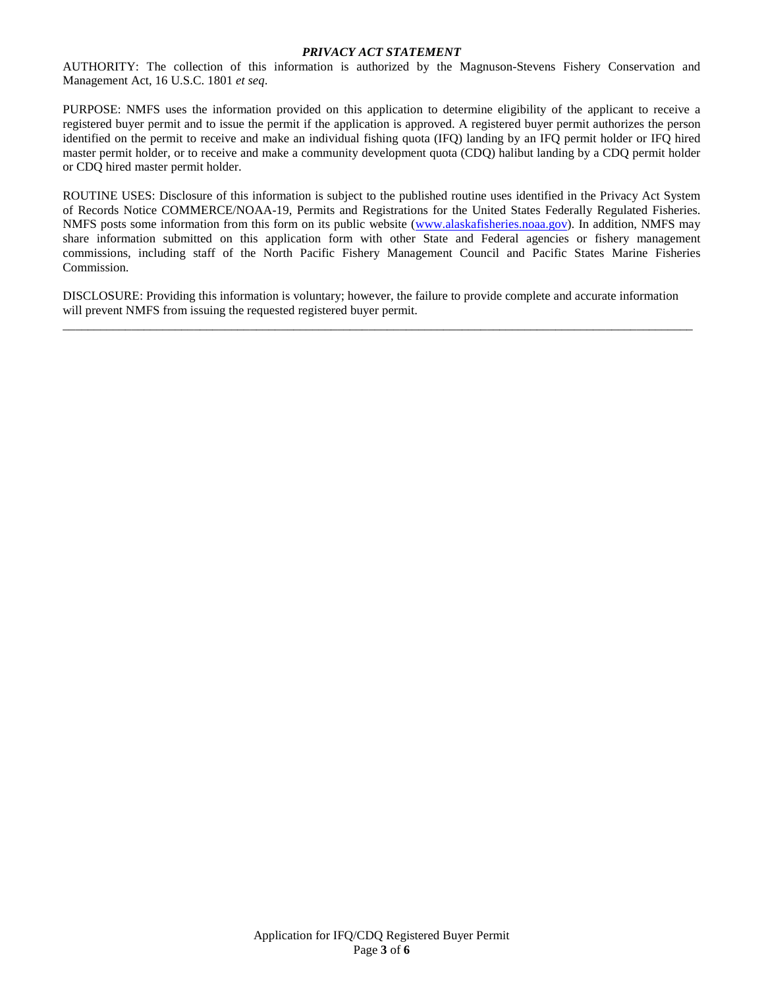#### *PRIVACY ACT STATEMENT*

AUTHORITY: The collection of this information is authorized by the Magnuson-Stevens Fishery Conservation and Management Act, 16 U.S.C. 1801 *et seq*.

PURPOSE: NMFS uses the information provided on this application to determine eligibility of the applicant to receive a registered buyer permit and to issue the permit if the application is approved. A registered buyer permit authorizes the person identified on the permit to receive and make an individual fishing quota (IFQ) landing by an IFQ permit holder or IFQ hired master permit holder, or to receive and make a community development quota (CDQ) halibut landing by a CDQ permit holder or CDQ hired master permit holder.

ROUTINE USES: Disclosure of this information is subject to the published routine uses identified in the Privacy Act System of Records Notice COMMERCE/NOAA-19, Permits and Registrations for the United States Federally Regulated Fisheries. NMFS posts some information from this form on its public website [\(www.alaskafisheries.noaa.gov\)](http://www.alaskafisheries.noaa.gov/). In addition, NMFS may share information submitted on this application form with other State and Federal agencies or fishery management commissions, including staff of the North Pacific Fishery Management Council and Pacific States Marine Fisheries Commission.

DISCLOSURE: Providing this information is voluntary; however, the failure to provide complete and accurate information will prevent NMFS from issuing the requested registered buyer permit.

\_\_\_\_\_\_\_\_\_\_\_\_\_\_\_\_\_\_\_\_\_\_\_\_\_\_\_\_\_\_\_\_\_\_\_\_\_\_\_\_\_\_\_\_\_\_\_\_\_\_\_\_\_\_\_\_\_\_\_\_\_\_\_\_\_\_\_\_\_\_\_\_\_\_\_\_\_\_\_\_\_\_\_\_\_\_\_\_\_\_\_\_\_\_\_\_\_\_\_\_\_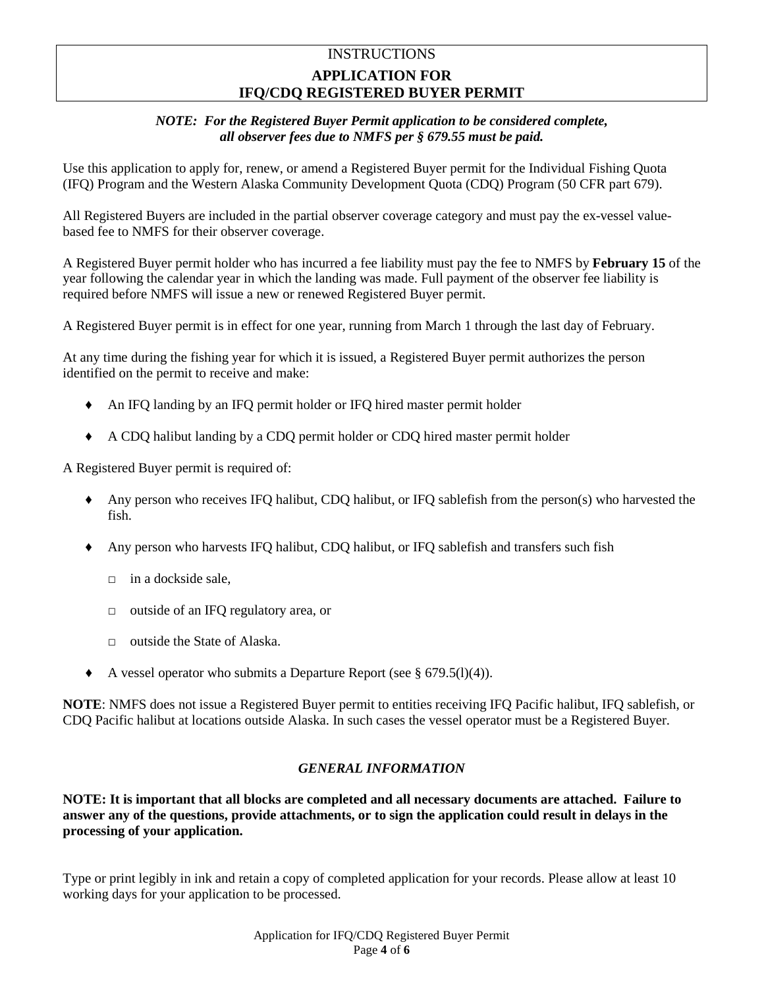# **INSTRUCTIONS APPLICATION FOR IFQ/CDQ REGISTERED BUYER PERMIT**

### *NOTE: For the Registered Buyer Permit application to be considered complete, all observer fees due to NMFS per § 679.55 must be paid.*

Use this application to apply for, renew, or amend a Registered Buyer permit for the Individual Fishing Quota (IFQ) Program and the Western Alaska Community Development Quota (CDQ) Program (50 CFR part 679).

All Registered Buyers are included in the partial observer coverage category and must pay the ex-vessel valuebased fee to NMFS for their observer coverage.

A Registered Buyer permit holder who has incurred a fee liability must pay the fee to NMFS by **February 15** of the year following the calendar year in which the landing was made. Full payment of the observer fee liability is required before NMFS will issue a new or renewed Registered Buyer permit.

A Registered Buyer permit is in effect for one year, running from March 1 through the last day of February.

At any time during the fishing year for which it is issued, a Registered Buyer permit authorizes the person identified on the permit to receive and make:

- ♦ An IFQ landing by an IFQ permit holder or IFQ hired master permit holder
- ♦ A CDQ halibut landing by a CDQ permit holder or CDQ hired master permit holder

A Registered Buyer permit is required of:

- ♦ Any person who receives IFQ halibut, CDQ halibut, or IFQ sablefish from the person(s) who harvested the fish.
- ♦ Any person who harvests IFQ halibut, CDQ halibut, or IFQ sablefish and transfers such fish
	- $\Box$  in a dockside sale.
	- □ outside of an IFQ regulatory area, or
	- $\Box$  outside the State of Alaska.
- $\blacklozenge$  A vessel operator who submits a Departure Report (see § 679.5(1)(4)).

**NOTE**: NMFS does not issue a Registered Buyer permit to entities receiving IFQ Pacific halibut, IFQ sablefish, or CDQ Pacific halibut at locations outside Alaska. In such cases the vessel operator must be a Registered Buyer.

### *GENERAL INFORMATION*

**NOTE: It is important that all blocks are completed and all necessary documents are attached. Failure to answer any of the questions, provide attachments, or to sign the application could result in delays in the processing of your application.**

Type or print legibly in ink and retain a copy of completed application for your records. Please allow at least 10 working days for your application to be processed.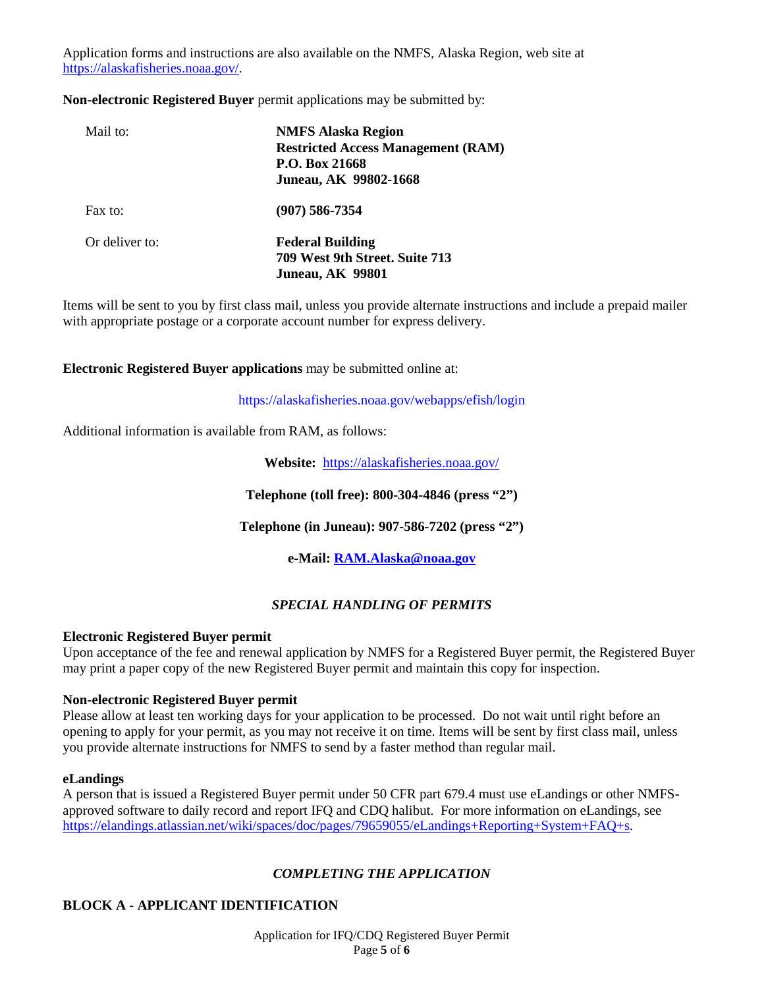Application forms and instructions are also available on the NMFS, Alaska Region, web site at [https://alaskafisheries.noaa.gov/.](https://alaskafisheries.noaa.gov/)

**Non-electronic Registered Buyer** permit applications may be submitted by:

| Mail to:       | <b>NMFS Alaska Region</b><br><b>Restricted Access Management (RAM)</b><br>P.O. Box 21668<br>Juneau, AK 99802-1668 |
|----------------|-------------------------------------------------------------------------------------------------------------------|
| Fax to:        | $(907)$ 586-7354                                                                                                  |
| Or deliver to: | <b>Federal Building</b><br>709 West 9th Street. Suite 713<br><b>Juneau, AK 99801</b>                              |

Items will be sent to you by first class mail, unless you provide alternate instructions and include a prepaid mailer with appropriate postage or a corporate account number for express delivery.

**Electronic Registered Buyer applications** may be submitted online at:

https://alaskafisheries.noaa.gov/webapps/efish/login

Additional information is available from RAM, as follows:

**Website:** <https://alaskafisheries.noaa.gov/>

**Telephone (toll free): 800-304-4846 (press "2")**

**Telephone (in Juneau): 907-586-7202 (press "2")**

**e-Mail[: RAM.Alaska@noaa.gov](mailto:RAM.Alaska@noaa.gov)**

### *SPECIAL HANDLING OF PERMITS*

### **Electronic Registered Buyer permit**

Upon acceptance of the fee and renewal application by NMFS for a Registered Buyer permit, the Registered Buyer may print a paper copy of the new Registered Buyer permit and maintain this copy for inspection.

### **Non-electronic Registered Buyer permit**

Please allow at least ten working days for your application to be processed. Do not wait until right before an opening to apply for your permit, as you may not receive it on time. Items will be sent by first class mail, unless you provide alternate instructions for NMFS to send by a faster method than regular mail.

#### **eLandings**

A person that is issued a Registered Buyer permit under 50 CFR part 679.4 must use eLandings or other NMFSapproved software to daily record and report IFQ and CDQ halibut. For more information on eLandings, see [https://elandings.atlassian.net/wiki/spaces/doc/pages/79659055/eLandings+Reporting+System+FAQ+s.](https://elandings.atlassian.net/wiki/spaces/doc/pages/79659055/eLandings+Reporting+System+FAQ+s)

## *COMPLETING THE APPLICATION*

## **BLOCK A - APPLICANT IDENTIFICATION**

Application for IFQ/CDQ Registered Buyer Permit Page **5** of **6**